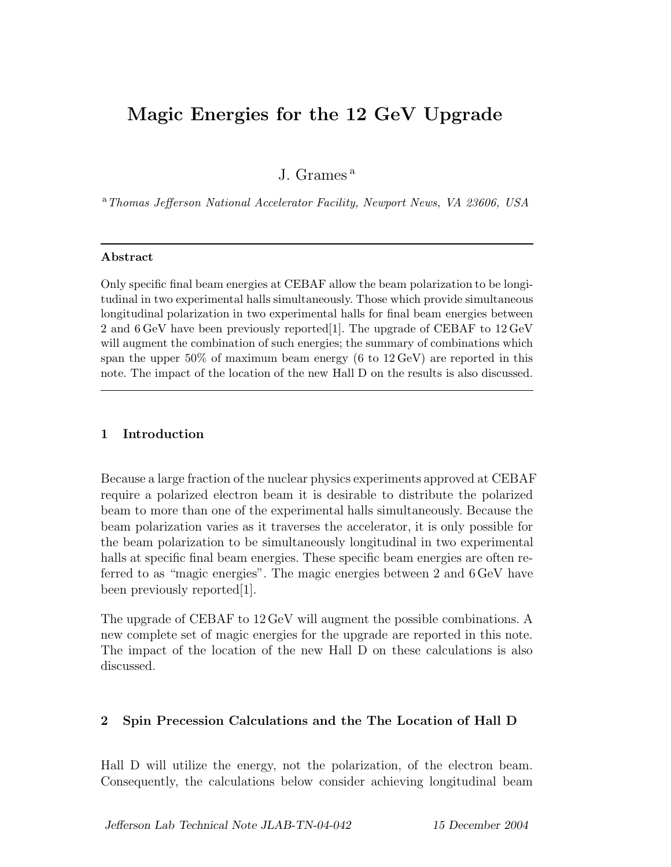# **Magic Energies for the 12 GeV Upgrade**

J. Grames<sup>a</sup>

<sup>a</sup>*Thomas Jefferson National Accelerator Facility, Newport News, VA 23606, USA*

#### **Abstract**

Only specific final beam energies at CEBAF allow the beam polarization to be longitudinal in two experimental halls simultaneously. Those which provide simultaneous longitudinal polarization in two experimental halls for final beam energies between 2 and 6 GeV have been previously reported[1]. The upgrade of CEBAF to 12 GeV will augment the combination of such energies; the summary of combinations which span the upper  $50\%$  of maximum beam energy (6 to  $12 \,\text{GeV}$ ) are reported in this note. The impact of the location of the new Hall D on the results is also discussed.

## **1 Introduction**

Because a large fraction of the nuclear physics experiments approved at CEBAF require a polarized electron beam it is desirable to distribute the polarized beam to more than one of the experimental halls simultaneously. Because the beam polarization varies as it traverses the accelerator, it is only possible for the beam polarization to be simultaneously longitudinal in two experimental halls at specific final beam energies. These specific beam energies are often referred to as "magic energies". The magic energies between 2 and 6 GeV have been previously reported[1].

The upgrade of CEBAF to 12 GeV will augment the possible combinations. A new complete set of magic energies for the upgrade are reported in this note. The impact of the location of the new Hall D on these calculations is also discussed.

## **2 Spin Precession Calculations and the The Location of Hall D**

Hall D will utilize the energy, not the polarization, of the electron beam. Consequently, the calculations below consider achieving longitudinal beam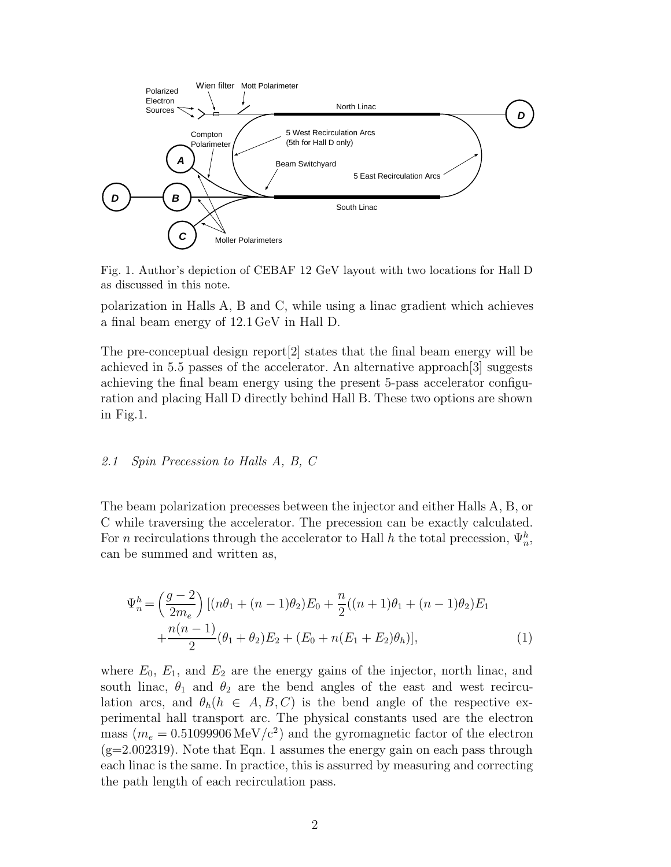

Fig. 1. Author's depiction of CEBAF 12 GeV layout with two locations for Hall D as discussed in this note.

polarization in Halls A, B and C, while using a linac gradient which achieves a final beam energy of 12*.*1 GeV in Hall D.

The pre-conceptual design report[2] states that the final beam energy will be achieved in 5.5 passes of the accelerator. An alternative approach[3] suggests achieving the final beam energy using the present 5-pass accelerator configuration and placing Hall D directly behind Hall B. These two options are shown in Fig.1.

#### *2.1 Spin Precession to Halls A, B, C*

The beam polarization precesses between the injector and either Halls A, B, or C while traversing the accelerator. The precession can be exactly calculated. For *n* recirculations through the accelerator to Hall *h* the total precession,  $\Psi_n^h$ , can be summed and written as,

$$
\Psi_n^h = \left(\frac{g-2}{2m_e}\right) \left[ (n\theta_1 + (n-1)\theta_2) E_0 + \frac{n}{2} ((n+1)\theta_1 + (n-1)\theta_2) E_1 + \frac{n(n-1)}{2} (\theta_1 + \theta_2) E_2 + (E_0 + n(E_1 + E_2)\theta_h) \right],
$$
\n(1)

where  $E_0$ ,  $E_1$ , and  $E_2$  are the energy gains of the injector, north linac, and south linac,  $\theta_1$  and  $\theta_2$  are the bend angles of the east and west recirculation arcs, and  $\theta_h(h \in A, B, C)$  is the bend angle of the respective experimental hall transport arc. The physical constants used are the electron mass ( $m_e = 0.51099906 \,\text{MeV}/c^2$ ) and the gyromagnetic factor of the electron  $(g=2.002319)$ . Note that Eqn. 1 assumes the energy gain on each pass through each linac is the same. In practice, this is assurred by measuring and correcting the path length of each recirculation pass.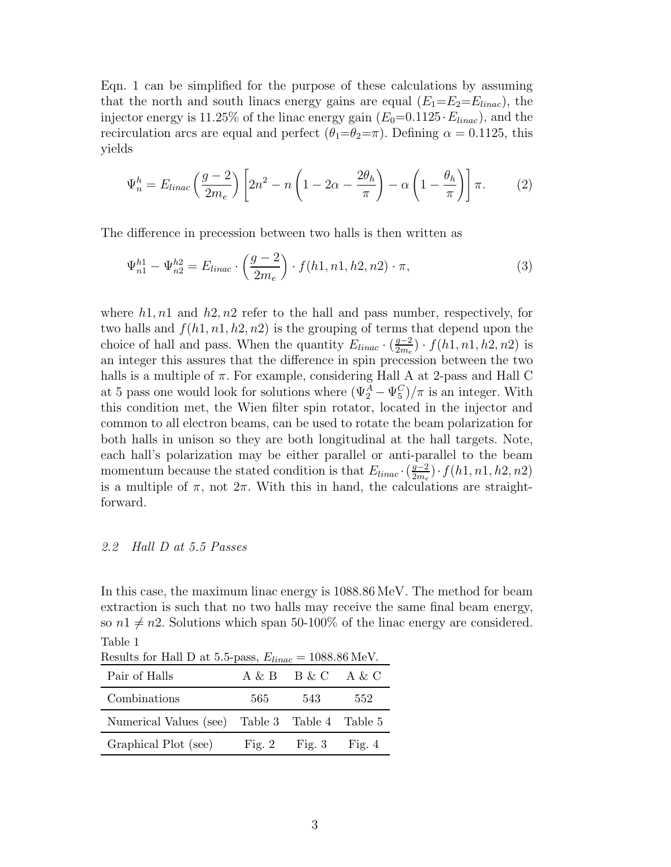Eqn. 1 can be simplified for the purpose of these calculations by assuming that the north and south linacs energy gains are equal  $(E_1=E_2=E_{linear})$ , the injector energy is 11.25% of the linac energy gain  $(E_0=0.1125 \cdot E_{linear})$ , and the recirculation arcs are equal and perfect  $(\theta_1 = \theta_2 = \pi)$ . Defining  $\alpha = 0.1125$ , this yields

$$
\Psi_n^h = E_{linac} \left( \frac{g-2}{2m_e} \right) \left[ 2n^2 - n \left( 1 - 2\alpha - \frac{2\theta_h}{\pi} \right) - \alpha \left( 1 - \frac{\theta_h}{\pi} \right) \right] \pi. \tag{2}
$$

The difference in precession between two halls is then written as

$$
\Psi_{n1}^{h1} - \Psi_{n2}^{h2} = E_{linac} \cdot \left(\frac{g-2}{2m_e}\right) \cdot f(h1, n1, h2, n2) \cdot \pi,\tag{3}
$$

where *h*1*, n*1 and *h*2*, n*2 refer to the hall and pass number, respectively, for two halls and  $f(h1, n1, h2, n2)$  is the grouping of terms that depend upon the choice of hall and pass. When the quantity  $E_{linear} \cdot (\frac{g-2}{2m_e}) \cdot f(h1, n1, h2, n2)$  is an integer this assures that the difference in spin precession between the two halls is a multiple of *π*. For example, considering Hall A at 2-pass and Hall C at 5 pass one would look for solutions where  $(\Psi_2^A - \Psi_5^C)/\pi$  is an integer. With this condition met, the Wien filter spin rotator, located in the injector and common to all electron beams, can be used to rotate the beam polarization for both halls in unison so they are both longitudinal at the hall targets. Note, each hall's polarization may be either parallel or anti-parallel to the beam momentum because the stated condition is that  $E_{linear} \cdot (\frac{g-2}{2m_e}) \cdot f(h1, n1, h2, n2)$ is a multiple of  $\pi$ , not  $2\pi$ . With this in hand, the calculations are straightforward.

#### *2.2 Hall D at 5.5 Passes*

In this case, the maximum linac energy is 1088*.*86 MeV. The method for beam extraction is such that no two halls may receive the same final beam energy, so  $n1 \neq n2$ . Solutions which span 50-100% of the linac energy are considered. Table 1

| Results for Hall D at 5.5-pass, $E_{linear} = 1088.86 \text{ MeV}$ . |     |                                    |     |  |  |  |
|----------------------------------------------------------------------|-----|------------------------------------|-----|--|--|--|
| Pair of Halls                                                        |     | $A \& B \quad B \& C \quad A \& C$ |     |  |  |  |
| Combinations                                                         | 565 | 543                                | 552 |  |  |  |
| Numerical Values (see) Table 3 Table 4 Table 5                       |     |                                    |     |  |  |  |
| Graphical Plot (see)                                                 |     | Fig. 2 Fig. 3 Fig. 4               |     |  |  |  |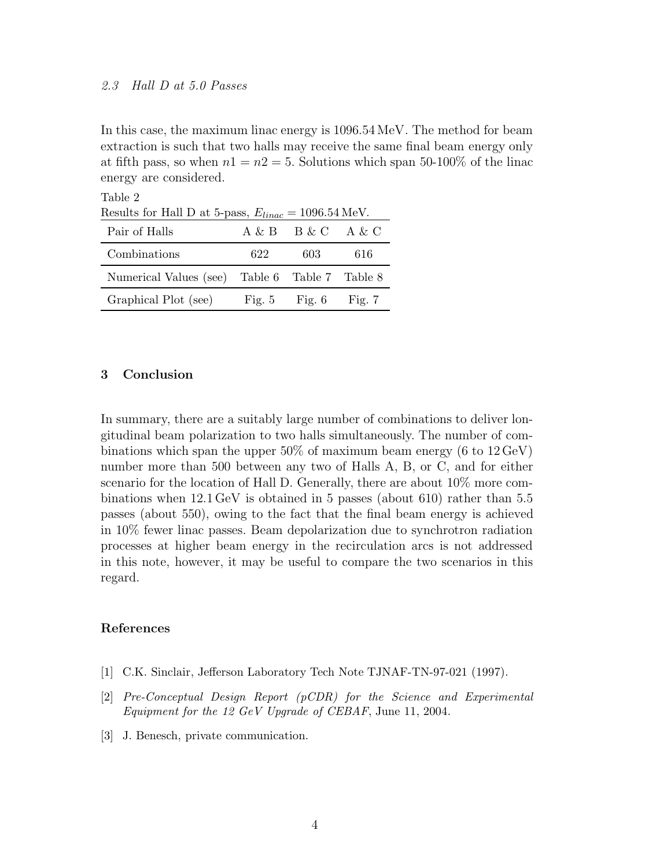## *2.3 Hall D at 5.0 Passes*

In this case, the maximum linac energy is 1096*.*54 MeV. The method for beam extraction is such that two halls may receive the same final beam energy only at fifth pass, so when  $n1 = n2 = 5$ . Solutions which span 50-100% of the linac energy are considered.

| Table 2                                                            |     |                                    |          |  |  |
|--------------------------------------------------------------------|-----|------------------------------------|----------|--|--|
| Results for Hall D at 5-pass, $E_{linear} = 1096.54 \text{ MeV}$ . |     |                                    |          |  |  |
| Pair of Halls                                                      |     | $A \& B \quad B \& C \quad A \& C$ |          |  |  |
| Combinations                                                       | 622 | 603                                | 616      |  |  |
| Numerical Values (see) Table 6 Table 7 Table 8                     |     |                                    |          |  |  |
| Graphical Plot (see)                                               |     | Fig. $5$ Fig. $6$                  | Fig. $7$ |  |  |

#### **3 Conclusion**

In summary, there are a suitably large number of combinations to deliver longitudinal beam polarization to two halls simultaneously. The number of combinations which span the upper 50% of maximum beam energy (6 to 12 GeV) number more than 500 between any two of Halls A, B, or C, and for either scenario for the location of Hall D. Generally, there are about 10% more combinations when 12*.*1 GeV is obtained in 5 passes (about 610) rather than 5.5 passes (about 550), owing to the fact that the final beam energy is achieved in 10% fewer linac passes. Beam depolarization due to synchrotron radiation processes at higher beam energy in the recirculation arcs is not addressed in this note, however, it may be useful to compare the two scenarios in this regard.

### **References**

- [1] C.K. Sinclair, Jefferson Laboratory Tech Note TJNAF-TN-97-021 (1997).
- [2] *Pre-Conceptual Design Report (pCDR) for the Science and Experimental Equipment for the 12 GeV Upgrade of CEBAF*, June 11, 2004.
- [3] J. Benesch, private communication.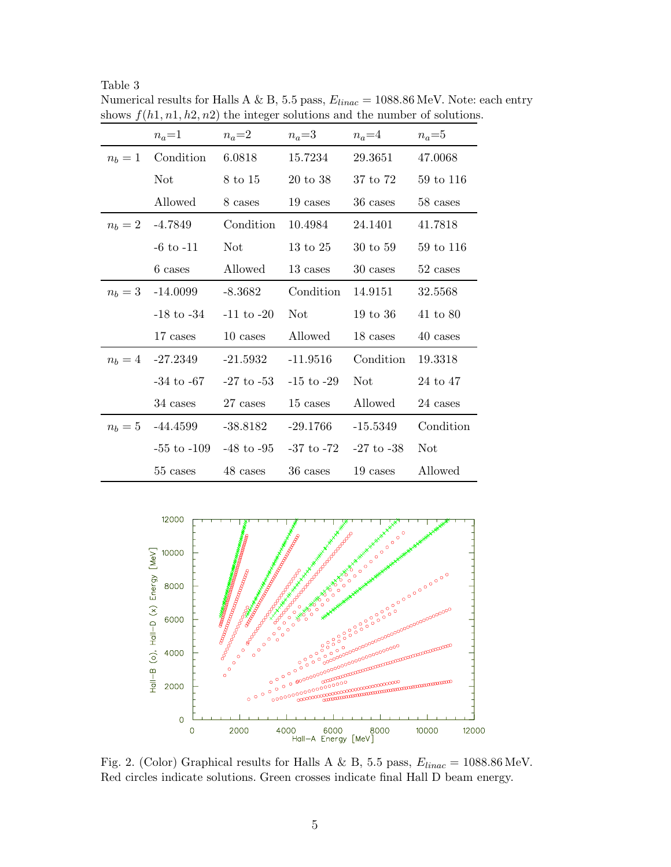|         | $n_a=1$            | $n_a=2$        | $n_a=3$             | $n_a=4$        | $n_a=5$    |
|---------|--------------------|----------------|---------------------|----------------|------------|
| $n_b=1$ | Condition          | 6.0818         | 15.7234             | 29.3651        | 47.0068    |
|         | <b>Not</b>         | 8 to 15        | 20 to 38            | 37 to 72       | 59 to 116  |
|         | Allowed            | 8 cases        | 19 cases            | 36 cases       | 58 cases   |
| $n_b=2$ | $-4.7849$          | Condition      | 10.4984             | 24.1401        | 41.7818    |
|         | $-6$ to $-11$      | Not            | $13 \text{ to } 25$ | 30 to 59       | 59 to 116  |
|         | 6 cases            | Allowed        | 13 cases            | 30 cases       | 52 cases   |
|         | $n_b = 3$ -14.0099 | $-8.3682$      | Condition           | 14.9151        | 32.5568    |
|         | $-18$ to $-34$     | $-11$ to $-20$ | Not.                | 19 to 36       | 41 to 80   |
|         | 17 cases           | 10 cases       | Allowed             | 18 cases       | 40 cases   |
|         | $n_b = 4$ -27.2349 | $-21.5932$     | $-11.9516$          | Condition      | 19.3318    |
|         | $-34$ to $-67$     | $-27$ to $-53$ | $-15$ to $-29$      | Not            | 24 to 47   |
|         | 34 cases           | 27 cases       | 15 cases            | Allowed        | 24 cases   |
|         | $n_b = 5$ -44.4599 | $-38.8182$     | $-29.1766$          | $-15.5349$     | Condition  |
|         | $-55$ to $-109$    | $-48$ to $-95$ | -37 to -72          | $-27$ to $-38$ | <b>Not</b> |
|         | 55 cases           | 48 cases       | 36 cases            | 19 cases       | Allowed    |

Table 3 Numerical results for Halls A  $\&$  B, 5.5 pass,  $E_{linac}=1088.86\,\rm{MeV}.$  Note: each entry shows  $f(h1, n1, h2, n2)$  the integer solutions and the number of solutions.



Fig. 2. (Color) Graphical results for Halls A & B, 5.5 pass, E*linac* = 1088.86 MeV. Red circles indicate solutions. Green crosses indicate final Hall D beam energy.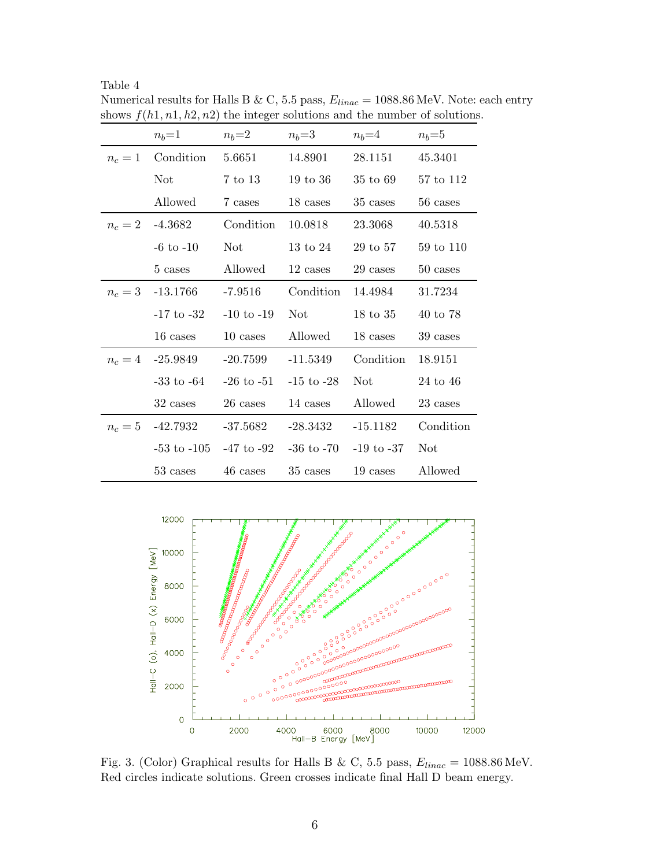|         | $n_b=1$            | $n_b=2$        | $n_b=3$        | $n_b=4$        | $n_b = 5$  |
|---------|--------------------|----------------|----------------|----------------|------------|
| $n_c=1$ | Condition          | 5.6651         | 14.8901        | 28.1151        | 45.3401    |
|         | <b>Not</b>         | 7 to 13        | 19 to 36       | 35 to 69       | 57 to 112  |
|         | Allowed            | 7 cases        | 18 cases       | 35 cases       | 56 cases   |
| $n_c=2$ | -4.3682            | Condition      | 10.0818        | 23.3068        | 40.5318    |
|         | $-6$ to $-10$      | Not.           | 13 to 24       | 29 to 57       | 59 to 110  |
|         | 5 cases            | Allowed        | 12 cases       | 29 cases       | 50 cases   |
|         | $n_c = 3$ -13.1766 | $-7.9516$      | Condition      | 14.4984        | 31.7234    |
|         | $-17$ to $-32$     | $-10$ to $-19$ | Not            | 18 to 35       | 40 to 78   |
|         | 16 cases           | 10 cases       | Allowed        | 18 cases       | 39 cases   |
| $n_c=4$ | $-25.9849$         | $-20.7599$     | $-11.5349$     | Condition      | 18.9151    |
|         | $-33$ to $-64$     | $-26$ to $-51$ | $-15$ to $-28$ | Not.           | 24 to 46   |
|         | 32 cases           | 26 cases       | 14 cases       | Allowed        | 23 cases   |
| $n_c=5$ | -42.7932           | $-37.5682$     | $-28.3432$     | $-15.1182$     | Condition  |
|         | $-53$ to $-105$    | $-47$ to $-92$ | $-36$ to $-70$ | $-19$ to $-37$ | <b>Not</b> |
|         | 53 cases           | 46 cases       | 35 cases       | 19 cases       | Allowed    |

Table 4 Numerical results for Halls B & C, 5.5 pass,  $E_{linac}=1088.86\,\mathrm{MeV}.$  Note: each entry shows  $f(h1, n1, h2, n2)$  the integer solutions and the number of solutions.



Fig. 3. (Color) Graphical results for Halls B & C, 5.5 pass, E*linac* = 1088.86 MeV. Red circles indicate solutions. Green crosses indicate final Hall D beam energy.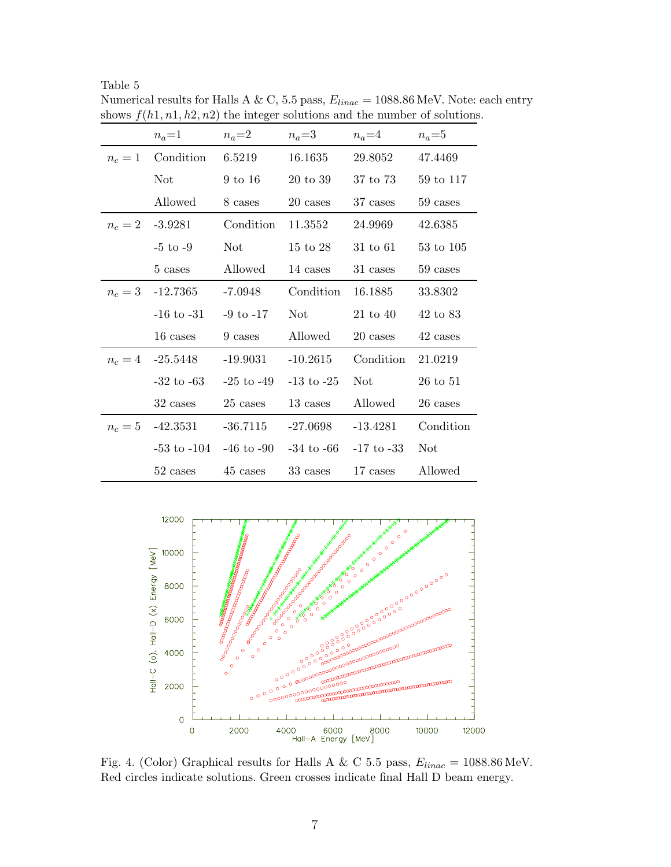|         | $n_a=1$            | $n_a=2$                                       | $n_a=3$        | $n_a=4$        | $n_a=5$    |
|---------|--------------------|-----------------------------------------------|----------------|----------------|------------|
| $n_c=1$ | Condition          | 6.5219                                        | 16.1635        | 29.8052        | 47.4469    |
|         | <b>Not</b>         | 9 to 16                                       | 20 to 39       | 37 to 73       | 59 to 117  |
|         | Allowed            | 8 cases                                       | 20 cases       | 37 cases       | 59 cases   |
| $n_c=2$ | $-3.9281$          | Condition                                     | 11.3552        | 24.9969        | 42.6385    |
|         | $-5$ to $-9$       | Not                                           | $15$ to $28$   | $31$ to $61$   | 53 to 105  |
|         | 5 cases            | Allowed                                       | 14 cases       | 31 cases       | 59 cases   |
|         | $n_c = 3$ -12.7365 | $-7.0948$                                     | Condition      | 16.1885        | 33.8302    |
|         | $-16$ to $-31$     | $-9$ to $-17$                                 | Not            | $21$ to $40$   | 42 to 83   |
|         | 16 cases           | 9 cases                                       | Allowed        | 20 cases       | 42 cases   |
|         | $n_c = 4$ -25.5448 | $-19.9031$                                    | $-10.2615$     | Condition      | 21.0219    |
|         | $-32$ to $-63$     | $-25$ to $-49$                                | $-13$ to $-25$ | Not            | 26 to 51   |
|         | 32 cases           | 25 cases                                      | 13 cases       | Allowed        | 26 cases   |
|         | $n_c = 5$ -42.3531 | $-36.7115$                                    | $-27.0698$     | $-13.4281$     | Condition  |
|         |                    | $-53$ to $-104$ $-46$ to $-90$ $-34$ to $-66$ |                | $-17$ to $-33$ | <b>Not</b> |
|         | 52 cases           | 45 cases                                      | 33 cases       | 17 cases       | Allowed    |

Table 5 Numerical results for Halls A & C, 5.5 pass, E*linac* = 1088.86 MeV. Note: each entry shows  $f(h1, n1, h2, n2)$  the integer solutions and the number of solutions.



Fig. 4. (Color) Graphical results for Halls A & C 5.5 pass, E*linac* = 1088.86 MeV. Red circles indicate solutions. Green crosses indicate final Hall D beam energy.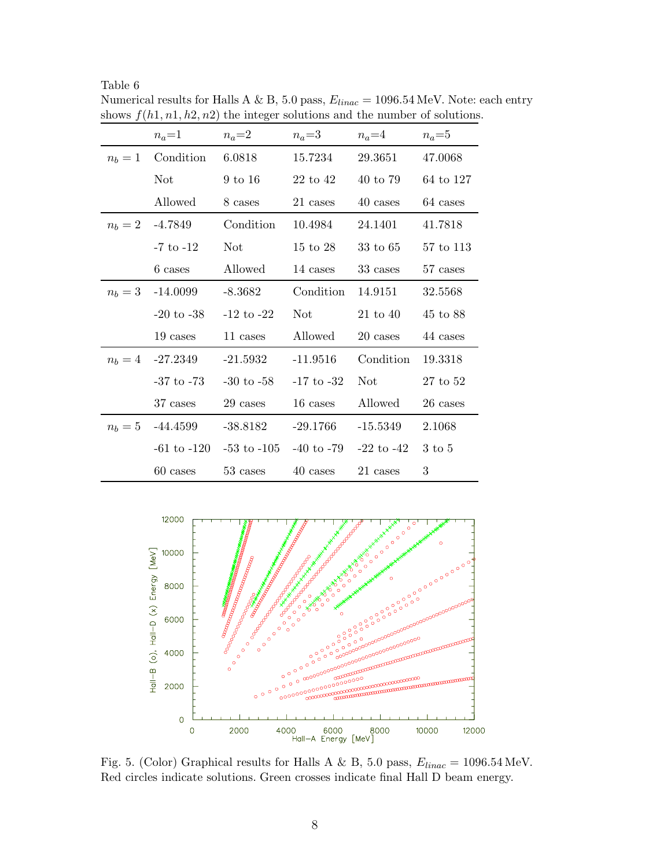| Table | n |
|-------|---|
|-------|---|

|         | $n_a=1$            | $n_a=2$            | $n_a=3$        | $n_a=4$             | $n_a=5$   |
|---------|--------------------|--------------------|----------------|---------------------|-----------|
| $n_b=1$ | Condition          | 6.0818             | 15.7234        | 29.3651             | 47.0068   |
|         | <b>Not</b>         | $9 \text{ to } 16$ | 22 to 42       | 40 to 79            | 64 to 127 |
|         | Allowed            | 8 cases            | 21 cases       | 40 cases            | 64 cases  |
|         | $n_b = 2$ -4.7849  | Condition          | 10.4984        | 24.1401             | 41.7818   |
|         | $-7$ to $-12$      | Not.               | 15 to 28       | $33 \text{ to } 65$ | 57 to 113 |
|         | 6 cases            | Allowed            | 14 cases       | 33 cases            | 57 cases  |
|         | $n_b = 3$ -14.0099 | -8.3682            | Condition      | 14.9151             | 32.5568   |
|         | $-20$ to $-38$     | $-12$ to $-22$     | Not.           | $21$ to $40$        | 45 to 88  |
|         | 19 cases           | 11 cases           | Allowed        | 20 cases            | 44 cases  |
|         | $n_b = 4$ -27.2349 | $-21.5932$         | $-11.9516$     | Condition           | 19.3318   |
|         | $-37$ to $-73$     | $-30$ to $-58$     | $-17$ to $-32$ | Not                 | 27 to 52  |
|         | 37 cases           | 29 cases           | 16 cases       | Allowed             | 26 cases  |
|         | $n_b = 5$ -44.4599 | -38.8182           | $-29.1766$     | $-15.5349$          | 2.1068    |
|         | $-61$ to $-120$    | $-53$ to $-105$    | $-40$ to $-79$ | -22 to -42          | 3 to 5    |
|         | 60 cases           | 53 cases           | 40 cases       | 21 cases            | 3         |

Numerical results for Halls A  $\&$  B, 5.0 pass,  $E_{linac} = 1096.54 \,\rm{MeV}.$  Note: each entry shows  $f(h1, n1, h2, n2)$  the integer solutions and the number of solutions.



Fig. 5. (Color) Graphical results for Halls A & B, 5.0 pass, E*linac* = 1096.54 MeV. Red circles indicate solutions. Green crosses indicate final Hall D beam energy.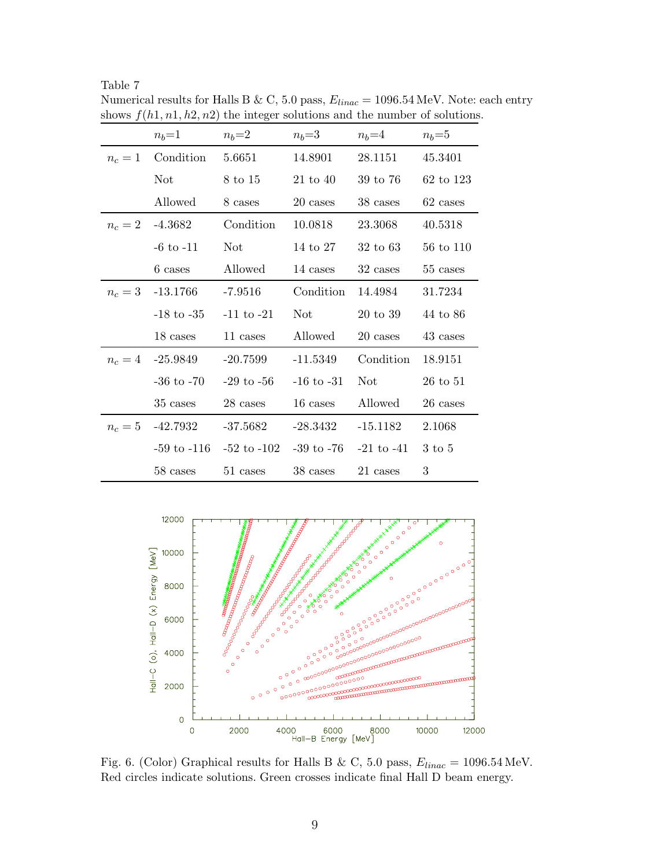|         | $n_b=1$            | $n_b=2$         | $n_b = 3$      | $n_b = 4$      | $n_b = 5$      |
|---------|--------------------|-----------------|----------------|----------------|----------------|
| $n_c=1$ | Condition          | 5.6651          | 14.8901        | 28.1151        | 45.3401        |
|         | <b>Not</b>         | 8 to 15         | $21$ to $40$   | 39 to 76       | 62 to 123      |
|         | Allowed            | 8 cases         | 20 cases       | 38 cases       | 62 cases       |
| $n_c=2$ | $-4.3682$          | Condition       | 10.0818        | 23.3068        | 40.5318        |
|         | $-6$ to $-11$      | Not -           | 14 to 27       | $32$ to $63$   | 56 to 110      |
|         | 6 cases            | Allowed         | 14 cases       | 32 cases       | 55 cases       |
|         | $n_c = 3$ -13.1766 | $-7.9516$       | Condition      | 14.4984        | 31.7234        |
|         | $-18$ to $-35$     | $-11$ to $-21$  | Not            | 20 to 39       | 44 to 86       |
|         | 18 cases           | 11 cases        | Allowed        | 20 cases       | 43 cases       |
| $n_c=4$ | -25.9849           | $-20.7599$      | $-11.5349$     | Condition      | 18.9151        |
|         | $-36$ to $-70$     | -29 to -56 $\,$ | $-16$ to $-31$ | Not            | $26$ to $51$   |
|         | 35 cases           | 28 cases        | 16 cases       | Allowed        | $26\rm\ cases$ |
| $n_c=5$ | -42.7932           | $-37.5682$      | $-28.3432$     | $-15.1182$     | 2.1068         |
|         | $-59$ to $-116$    | $-52$ to $-102$ | $-39$ to $-76$ | $-21$ to $-41$ | 3 to 5         |
|         | 58 cases           | 51 cases        | 38 cases       | 21 cases       | 3              |

Table 7 Numerical results for Halls B & C, 5.0 pass, E*linac* = 1096.54 MeV. Note: each entry shows  $f(h1, n1, h2, n2)$  the integer solutions and the number of solutions.



Fig. 6. (Color) Graphical results for Halls B & C, 5.0 pass, E*linac* = 1096.54 MeV. Red circles indicate solutions. Green crosses indicate final Hall D beam energy.